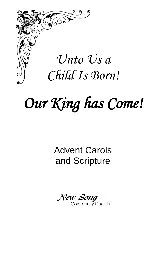

# *Our King has Come!*

# Advent Carols and Scripture

New Song Community Church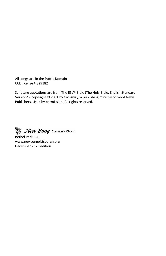All songs are in the Public Domain CCLI license # 329182

Scripture quotations are from The ESV® Bible (The Holy Bible, English Standard Version®), copyright © 2001 by Crossway, a publishing ministry of Good News Publishers. Used by permission. All rights reserved.

New Song Community Church

Bethel Park, PA www.newsongpittsburgh.org December 2020 edition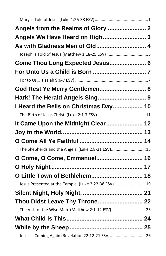| Angels We Have Heard on High 3                      |    |
|-----------------------------------------------------|----|
| As with Gladness Men of Old 4                       |    |
| Joseph is Told of Jesus (Matthew 1:18-25 ESV) 5     |    |
| Come Thou Long Expected Jesus 6                     |    |
|                                                     |    |
|                                                     |    |
| God Rest Ye Merry Gentlemen 8                       |    |
| Hark! The Herald Angels Sing 9                      |    |
| I Heard the Bells on Christmas Day 10               |    |
|                                                     |    |
| It Came Upon the Midnight Clear 12                  |    |
|                                                     |    |
|                                                     |    |
| The Shepherds and the Angels (Luke 2:8-21 ESV)15    |    |
| O Come, O Come, Emmanuel 16                         |    |
|                                                     |    |
| O Little Town of Bethlehem 18                       |    |
| Jesus Presented at the Temple (Luke 2:22-38 ESV) 19 |    |
|                                                     |    |
| Thou Didst Leave Thy Throne                         | 22 |
| The Visit of the Wise Men (Matthew 2:1-12 ESV) 23   |    |
|                                                     |    |
|                                                     |    |
| Jesus is Coming Again (Revelation 22:12-21 ESV)26   |    |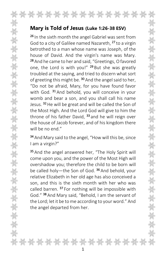### <span id="page-3-0"></span>**Mary is Told of Jesus (Luke 1:26-38 ESV)**

26 In the sixth month the angel Gabriel was sent from God to a city of Galilee named Nazareth, <sup>27</sup> to a virgin betrothed to a man whose name was Joseph, of the house of David. And the virgin's name was Mary. 28 And he came to her and said, "Greetings, O favored one, the Lord is with you!"  $^{29}$  But she was greatly troubled at the saying, and tried to discern what sort of greeting this might be.  $30$  And the angel said to her, "Do not be afraid, Mary, for you have found favor with God. <sup>31</sup> And behold, you will conceive in your womb and bear a son, and you shall call his name Jesus. <sup>32</sup> He will be great and will be called the Son of the Most High. And the Lord God will give to him the throne of his father David,  $33$  and he will reign over the house of Jacob forever, and of his kingdom there will be no end."

34 And Mary said to the angel, "How will this be, since I am a virgin?"

35 And the angel answered her, "The Holy Spirit will come upon you, and the power of the Most High will overshadow you; therefore the child to be born will be called holy—the Son of God.  $36$  And behold, your relative Elizabeth in her old age has also conceived a son, and this is the sixth month with her who was called barren.<sup>37</sup> For nothing will be impossible with God." <sup>38</sup> And Mary said, "Behold, I am the servant of the Lord; let it be to me according to your word." And the angel departed from her.

မိုင်းဝ တို့ဦးဝ တို့ဦးဝ တို့ဦးစ် ထိုဦးစ် တို့ဦးဝ တို့ဦးစ် ထိုဦးစ် ထိုဦးစ် တို့ဦးစ် ထိုဦးစ် ထိုဦးစ် တို့ဦးစ် ဝ<br>ဦးစ်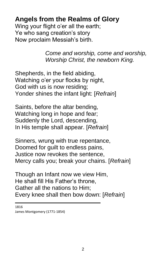### <span id="page-4-0"></span>**Angels from the Realms of Glory**

Wing your flight o'er all the earth; Ye who sang creation's story Now proclaim Messiah's birth.

> *Come and worship, come and worship, Worship Christ, the newborn King.*

Shepherds, in the field abiding, Watching o'er your flocks by night, God with us is now residing; Yonder shines the infant light: [*Refrain*]

Saints, before the altar bending, Watching long in hope and fear; Suddenly the Lord, descending, In His temple shall appear. [*Refrain*]

Sinners, wrung with true repentance, Doomed for guilt to endless pains, Justice now revokes the sentence, Mercy calls you; break your chains. [*Refrain*]

Though an Infant now we view Him, He shall fill His Father's throne, Gather all the nations to Him; Every knee shall then bow down: [*Refrain*]

1816 James Montgomery (1771-1854)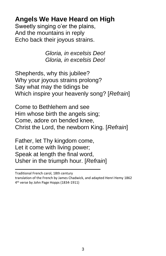<span id="page-5-0"></span>**Angels We Have Heard on High**

Sweetly singing o'er the plains, And the mountains in reply Echo back their joyous strains.

> *Gloria, in excelsis Deo! Gloria, in excelsis Deo!*

Shepherds, why this jubilee? Why your joyous strains prolong? Say what may the tidings be Which inspire your heavenly song? [*Refrain*]

Come to Bethlehem and see Him whose birth the angels sing; Come, adore on bended knee, Christ the Lord, the newborn King. [*Refrain*]

Father, let Thy kingdom come, Let it come with living power; Speak at length the final word, Usher in the triumph hour. [*Refrain*]

Traditional French carol, 18th century translation of the French by James Chadwick, and adapted Henri Hemy 1862 4 th verse by John Page Hopps (1834-1911)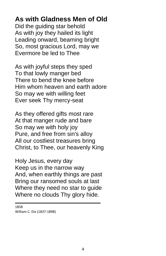# <span id="page-6-0"></span>**As with Gladness Men of Old**

Did the guiding star behold As with joy they hailed its light Leading onward, beaming bright So, most gracious Lord, may we Evermore be led to Thee

As with joyful steps they sped To that lowly manger bed There to bend the knee before Him whom heaven and earth adore So may we with willing feet Ever seek Thy mercy-seat

As they offered gifts most rare At that manger rude and bare So may we with holy joy Pure, and free from sin's alloy All our costliest treasures bring Christ, to Thee, our heavenly King

Holy Jesus, every day Keep us in the narrow way And, when earthly things are past Bring our ransomed souls at last Where they need no star to guide Where no clouds Thy glory hide.

1858 William C. Dix (1837-1898)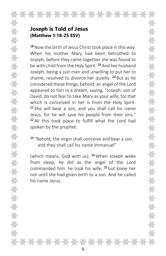### <span id="page-7-0"></span>**Joseph is Told of Jesus (Matthew 1:18-25 ESV)**

<sup>18</sup> Now the birth of Jesus Christ took place in this way. When his mother Mary had been betrothed to Joseph, before they came together she was found to be with child from the Holy Spirit.<sup>19</sup> And her husband Joseph, being a just man and unwilling to put her to shame, resolved to divorce her quietly. <sup>20</sup> But as he considered these things, behold, an angel of the Lord appeared to him in a dream, saying, "Joseph, son of David, do not fear to take Mary as your wife, for that which is conceived in her is from the Holy Spirit.  $21$  She will bear a son, and you shall call his name Jesus, for he will save his people from their sins." <sup>22</sup> All this took place to fulfill what the Lord had spoken by the prophet:

### <sup>23</sup> "Behold, the virgin shall conceive and bear a son, and they shall call his name Immanuel"

(which means, God with us). <sup>24</sup> When Joseph woke from sleep, he did as the angel of the Lord commanded him: he took his wife, <sup>25</sup> but knew her not until she had given birth to a son. And he called his name Jesus.

မြန်မာ ဝန်ဒိုင်းဝ ဝန်ဒိုင်းဝ ဝန်ဒိုင်းဝ ဝန်ဒိုင်းဝ ဝန်ဒိုင်းဝ ဝန်ဒိုင်းဝ ဝန်ဒိုင်းဝ ဝန်ဒိုင်းဝ ဝန်ဒိုင်းဝ ဝန်ဒ<br>အိန္ဒိယ ဝန်ဒိုင်းဝ တွေ့ရှိန်းဝ ဝန်ဒိုင်းဝ တွေ့ရှိန်း ဝန်ဒိုင်းဝ တွေ့ရှိန်းဝ ဝန်ဒိုင်းဝ ဝန်ဒိုင်းဝ တွေ့ရှိန်းဝ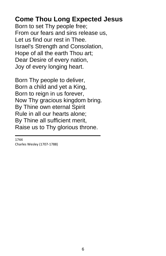# <span id="page-8-0"></span>**Come Thou Long Expected Jesus**

Born to set Thy people free; From our fears and sins release us, Let us find our rest in Thee. Israel's Strength and Consolation, Hope of all the earth Thou art; Dear Desire of every nation, Joy of every longing heart.

Born Thy people to deliver, Born a child and yet a King, Born to reign in us forever, Now Thy gracious kingdom bring. By Thine own eternal Spirit Rule in all our hearts alone; By Thine all sufficient merit, Raise us to Thy glorious throne.

1744 Charles Wesley (1707-1788)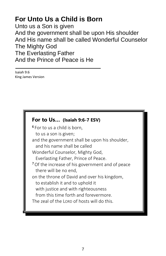# <span id="page-9-0"></span>**For Unto Us a Child is Born**

Unto us a Son is given And the government shall be upon His shoulder And His name shall be called Wonderful Counselor The Mighty God The Everlasting Father And the Prince of Peace is He

Isaiah 9:6 King James Version

### <span id="page-9-1"></span>**For to Us… (Isaiah 9:6-7 ESV)**

<sup>6</sup>For to us a child is born, to us a son is given; and the government shall be upon his shoulder, and his name shall be called Wonderful Counselor, Mighty God, Everlasting Father, Prince of Peace. <sup>7</sup> Of the increase of his government and of peace there will be no end, on the throne of David and over his kingdom, to establish it and to uphold it with justice and with righteousness from this time forth and forevermore. The zeal of the LORD of hosts will do this.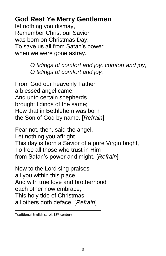### <span id="page-10-0"></span>**God Rest Ye Merry Gentlemen**

let nothing you dismay, Remember Christ our Savior was born on Christmas Day; To save us all from Satan's power when we were gone astray.

> *O tidings of comfort and joy, comfort and joy; O tidings of comfort and joy.*

From God our heavenly Father a blessèd angel came; And unto certain shepherds brought tidings of the same; How that in Bethlehem was born the Son of God by name. [*Refrain*]

Fear not, then, said the angel, Let nothing you affright This day is born a Savior of a pure Virgin bright, To free all those who trust in Him from Satan's power and might. [*Refrain*]

Now to the Lord sing praises all you within this place, And with true love and brotherhood each other now embrace; This holy tide of Christmas all others doth deface. [*Refrain*]

Traditional English carol, 18th century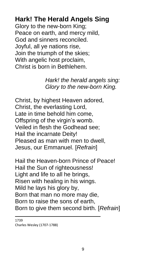# <span id="page-11-0"></span>**Hark! The Herald Angels Sing**

Glory to the new-born King; Peace on earth, and mercy mild, God and sinners reconciled. Joyful, all ye nations rise, Join the triumph of the skies; With angelic host proclaim, Christ is born in Bethlehem.

> *Hark! the herald angels sing: Glory to the new-born King.*

Christ, by highest Heaven adored, Christ, the everlasting Lord, Late in time behold him come, Offspring of the virgin's womb. Veiled in flesh the Godhead see; Hail the incarnate Deity! Pleased as man with men to dwell, Jesus, our Emmanuel. [*Refrain*]

Hail the Heaven-born Prince of Peace! Hail the Sun of righteousness! Light and life to all he brings, Risen with healing in his wings. Mild he lays his glory by, Born that man no more may die, Born to raise the sons of earth, Born to give them second birth. [*Refrain*]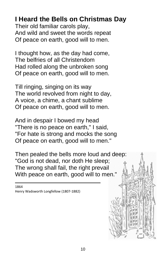## <span id="page-12-0"></span>**I Heard the Bells on Christmas Day**

Their old familiar carols play, And wild and sweet the words repeat Of peace on earth, good will to men.

I thought how, as the day had come, The belfries of all Christendom Had rolled along the unbroken song Of peace on earth, good will to men.

Till ringing, singing on its way The world revolved from night to day, A voice, a chime, a chant sublime Of peace on earth, good will to men.

And in despair I bowed my head "There is no peace on earth," I said, "For hate is strong and mocks the song Of peace on earth, good will to men."

Then pealed the bells more loud and deep: "God is not dead, nor doth He sleep; The wrong shall fail, the right prevail With peace on earth, good will to men."

1864

Henry Wadsworth Longfellow (1807-1882)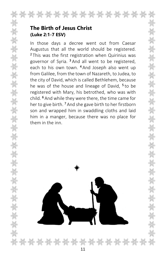### <span id="page-13-0"></span>**The Birth of Jesus Christ (Luke 2:1-7 ESV)**

In those days a decree went out from Caesar Augustus that all the world should be registered. <sup>2</sup>This was the first registration when Quirinius was governor of Syria. <sup>3</sup>And all went to be registered, each to his own town. <sup>4</sup> And Joseph also went up from Galilee, from the town of Nazareth, to Judea, to the city of David, which is called Bethlehem, because he was of the house and lineage of David, <sup>5</sup> to be registered with Mary, his betrothed, who was with child.  $6$  And while they were there, the time came for her to give birth. <sup>7</sup> And she gave birth to her firstborn son and wrapped him in swaddling cloths and laid him in a manger, because there was no place for them in the inn.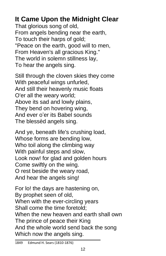# <span id="page-14-0"></span>**It Came Upon the Midnight Clear**

That glorious song of old, From angels bending near the earth, To touch their harps of gold; "Peace on the earth, good will to men, From Heaven's all gracious King." The world in solemn stillness lay, To hear the angels sing.

Still through the cloven skies they come With peaceful wings unfurled, And still their heavenly music floats O'er all the weary world; Above its sad and lowly plains, They bend on hovering wing, And ever o'er its Babel sounds The blessèd angels sing.

And ye, beneath life's crushing load, Whose forms are bending low, Who toil along the climbing way With painful steps and slow, Look now! for glad and golden hours Come swiftly on the wing. O rest beside the weary road, And hear the angels sing!

For lo! the days are hastening on, By prophet seen of old, When with the ever-circling years Shall come the time foretold; When the new heaven and earth shall own The prince of peace their King And the whole world send back the song Which now the angels sing.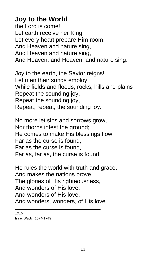# <span id="page-15-0"></span>**Joy to the World**

the Lord is come! Let earth receive her King; Let every heart prepare Him room, And Heaven and nature sing, And Heaven and nature sing, And Heaven, and Heaven, and nature sing.

Joy to the earth, the Savior reigns! Let men their songs employ; While fields and floods, rocks, hills and plains Repeat the sounding joy, Repeat the sounding joy, Repeat, repeat, the sounding joy.

No more let sins and sorrows grow, Nor thorns infest the ground; He comes to make His blessings flow Far as the curse is found, Far as the curse is found, Far as, far as, the curse is found.

He rules the world with truth and grace, And makes the nations prove The glories of His righteousness, And wonders of His love, And wonders of His love, And wonders, wonders, of His love.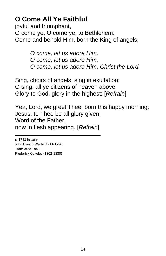# <span id="page-16-0"></span>**O Come All Ye Faithful**

joyful and triumphant, O come ye, O come ye, to Bethlehem. Come and behold Him, born the King of angels;

> *O come, let us adore Him, O come, let us adore Him, O come, let us adore Him, Christ the Lord.*

Sing, choirs of angels, sing in exultation; O sing, all ye citizens of heaven above! Glory to God, glory in the highest; [*Refrain*]

Yea, Lord, we greet Thee, born this happy morning; Jesus, to Thee be all glory given; Word of the Father, now in flesh appearing. [*Refrain*]

c. 1743 in Latin John Francis Wade (1711-1786) Translated 1841 Frederick Oakeley (1802-1880)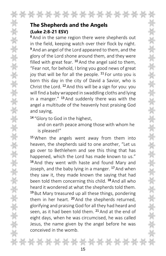### <span id="page-17-0"></span>**The Shepherds and the Angels (Luke 2:8-21 ESV)**

<sup>8</sup> And in the same region there were shepherds out in the field, keeping watch over their flock by night. <sup>9</sup> And an angel of the Lord appeared to them, and the glory of the Lord shone around them, and they were filled with great fear.  $10$  And the angel said to them, "Fear not, for behold, I bring you good news of great joy that will be for all the people.  $11$  For unto you is born this day in the city of David a Savior, who is Christ the Lord.  $12$  And this will be a sign for you: you will find a baby wrapped in swaddling cloths and lying in a manger."  $13$  And suddenly there was with the angel a multitude of the heavenly host praising God and saying,

14 "Glory to God in the highest,

and on earth peace among those with whom he is pleased!"

<sup>15</sup> When the angels went away from them into heaven, the shepherds said to one another, "Let us go over to Bethlehem and see this thing that has happened, which the Lord has made known to us." <sup>16</sup> And they went with haste and found Mary and Joseph, and the baby lying in a manger. <sup>17</sup> And when they saw it, they made known the saying that had been told them concerning this child. <sup>18</sup> And all who heard it wondered at what the shepherds told them. <sup>19</sup> But Mary treasured up all these things, pondering them in her heart. <sup>20</sup> And the shepherds returned. glorifying and praising God for all they had heard and seen, as it had been told them. <sup>21</sup> And at the end of eight days, when he was circumcised, he was called Jesus, the name given by the angel before he was conceived in the womb.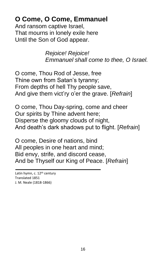### <span id="page-18-0"></span>**O Come, O Come, Emmanuel**

And ransom captive Israel, That mourns in lonely exile here Until the Son of God appear.

> *Rejoice! Rejoice! Emmanuel shall come to thee, O Israel.*

O come, Thou Rod of Jesse, free Thine own from Satan's tyranny; From depths of hell Thy people save, And give them vict'ry o'er the grave. [*Refrain*]

O come, Thou Day-spring, come and cheer Our spirits by Thine advent here; Disperse the gloomy clouds of night, And death's dark shadows put to flight. [*Refrain*]

O come, Desire of nations, bind All peoples in one heart and mind; Bid envy, strife, and discord cease, And be Thyself our King of Peace. [*Refrain*]

Latin hymn, c. 12<sup>th</sup> century Translated 1851 J. M. Neale (1818-1866)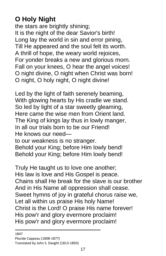# <span id="page-19-0"></span>**O Holy Night**

the stars are brightly shining; It is the night of the dear Savior's birth! Long lay the world in sin and error pining, Till He appeared and the soul felt its worth. A thrill of hope, the weary world rejoices, For yonder breaks a new and glorious morn. Fall on your knees, O hear the angel voices! O night divine, O night when Christ was born! O night, O holy night, O night divine!

Led by the light of faith serenely beaming, With glowing hearts by His cradle we stand. So led by light of a star sweetly gleaming, Here came the wise men from Orient land. The King of kings lay thus in lowly manger, In all our trials born to be our Friend! He knows our need to our weakness is no stranger. Behold your King; before Him lowly bend! Behold your King; before Him lowly bend!

Truly He taught us to love one another; His law is love and His Gospel is peace. Chains shall He break for the slave is our brother And in His Name all oppression shall cease. Sweet hymns of joy in grateful chorus raise we, Let all within us praise His holy Name! Christ is the Lord! O praise His name forever! His pow'r and glory evermore proclaim! His pow'r and glory evermore proclaim!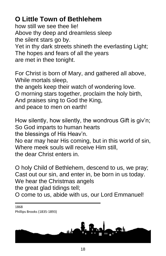# <span id="page-20-0"></span>**O Little Town of Bethlehem**

how still we see thee lie! Above thy deep and dreamless sleep the silent stars go by. Yet in thy dark streets shineth the everlasting Light; The hopes and fears of all the years are met in thee tonight.

For Christ is born of Mary, and gathered all above, While mortals sleep,

the angels keep their watch of wondering love. O morning stars together, proclaim the holy birth, And praises sing to God the King, and peace to men on earth!

How silently, how silently, the wondrous Gift is giv'n; So God imparts to human hearts

the blessings of His Heav'n.

No ear may hear His coming, but in this world of sin, Where meek souls will receive Him still, the dear Christ enters in.

O holy Child of Bethlehem, descend to us, we pray; Cast out our sin, and enter in, be born in us today. We hear the Christmas angels the great glad tidings tell;

O come to us, abide with us, our Lord Emmanuel!

1868 Phillips Brooks (1835-1893)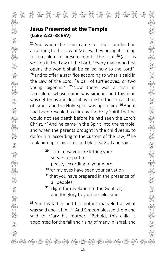### <span id="page-21-0"></span>**Jesus Presented at the Temple (Luke 2:22-38 ESV)**

22 And when the time came for their purification according to the Law of Moses, they brought him up to Jerusalem to present him to the Lord <sup>23</sup> (as it is written in the Law of the Lord, "Every male who first opens the womb shall be called holy to the Lord") <sup>24</sup> and to offer a sacrifice according to what is said in the Law of the Lord, "a pair of turtledoves, or two young pigeons." <sup>25</sup>Now there was a man in Jerusalem, whose name was Simeon, and this man was righteous and devout waiting for the consolation of Israel, and the Holy Spirit was upon him. 26 And it had been revealed to him by the Holy Spirit that he would not see death before he had seen the Lord's Christ. <sup>27</sup> And he came in the Spirit into the temple, and when the parents brought in the child Jesus, to do for him according to the custom of the Law, 28 he took him up in his arms and blessed God and said,

- 29 "Lord, now you are letting your servant depart in
	- peace, according to your word;
	- <sup>30</sup> for my eyes have seen your salvation
- <sup>31</sup> that you have prepared in the presence of all peoples,
	- 32 a light for revelation to the Gentiles, and for glory to your people Israel."

33 And his father and his mother marveled at what was said about him. <sup>34</sup> And Simeon blessed them and said to Mary his mother, "Behold, this child is appointed for the fall and rising of many in Israel, and

မန္ေသာမွာ သူမွာ မွန္ကာ အမွန္ ဆုတ္ဆံုး သူမွာ သူမွာ သူမွာ မွန္ကာ သူမွာ သူမွာ သူမွာ သူမွာ သူမွာ သူမွာ သူမွာ အျမဲ့<br>မွန္ကြာ မွန္ကာရွင္ မွန္ကာရွင္း မွန္ကာရွင္း မွန္ကာရွင္း မွန္ကာရွင္း မွန္ကာရွင္း မွန္ကာရွင္း မွန္ကာရွင္း မွန္ကာရ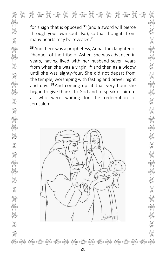for a sign that is opposed <sup>35</sup> (and a sword will pierce through your own soul also), so that thoughts from many hearts may be revealed."

e stude stude stude stude stude stude stude stude stude stude stude stude stude stude stude.<br>In 1988, student student student student student student student student student student student student stude<br>I student student

36 And there was a prophetess, Anna, the daughter of Phanuel, of the tribe of Asher. She was advanced in years, having lived with her husband seven years from when she was a virgin,  $37$  and then as a widow until she was eighty-four. She did not depart from the temple, worshiping with fasting and prayer night and day.  $38$  And coming up at that very hour she began to give thanks to God and to speak of him to all who were waiting for the redemption of Jerusalem.

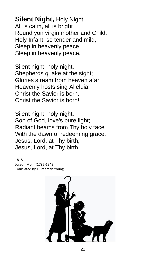<span id="page-23-0"></span>**Silent Night,** Holy Night All is calm, all is bright Round yon virgin mother and Child. Holy Infant, so tender and mild, Sleep in heavenly peace, Sleep in heavenly peace.

Silent night, holy night, Shepherds quake at the sight; Glories stream from heaven afar, Heavenly hosts sing Alleluia! Christ the Savior is born, Christ the Savior is born!

Silent night, holy night, Son of God, love's pure light; Radiant beams from Thy holy face With the dawn of redeeming grace, Jesus, Lord, at Thy birth, Jesus, Lord, at Thy birth.

1818

Joseph Mohr (1792-1848) Translated by J. Freeman Young

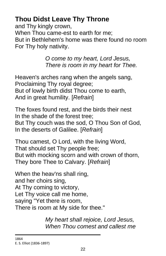# <span id="page-24-0"></span>**Thou Didst Leave Thy Throne**

and Thy kingly crown, When Thou came-est to earth for me: But in Bethlehem's home was there found no room

For Thy holy nativity.

*O come to my heart, Lord Jesus, There is room in my heart for Thee.*

Heaven's arches rang when the angels sang, Proclaiming Thy royal degree; But of lowly birth didst Thou come to earth, And in great humility. [*Refrain*]

The foxes found rest, and the birds their nest In the shade of the forest tree; But Thy couch was the sod, O Thou Son of God, In the deserts of Galilee. [*Refrain*]

Thou camest, O Lord, with the living Word, That should set Thy people free; But with mocking scorn and with crown of thorn, They bore Thee to Calvary. [*Refrain*]

When the heav'ns shall ring, and her choirs sing, At Thy coming to victory, Let Thy voice call me home, saying "Yet there is room, There is room at My side for thee."

> *My heart shall rejoice, Lord Jesus, When Thou comest and callest me*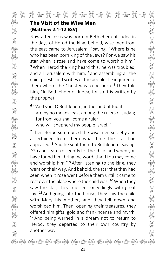### <span id="page-25-0"></span>**The Visit of the Wise Men (Matthew 2:1-12 ESV)**

Now after Jesus was born in Bethlehem of Judea in the days of Herod the king, behold, wise men from the east came to Jerusalem, <sup>2</sup> saying, "Where is he who has been born king of the Jews? For we saw his star when it rose and have come to worship him." <sup>3</sup> When Herod the king heard this, he was troubled, and all Jerusalem with him; <sup>4</sup> and assembling all the chief priests and scribes of the people, he inquired of them where the Christ was to be born. <sup>5</sup>They told him, "In Bethlehem of Judea, for so it is written by the prophet:

6 "'And you, O Bethlehem, in the land of Judah, are by no means least among the rulers of Judah; for from you shall come a ruler who will shepherd my people Israel."

<sup>7</sup>Then Herod summoned the wise men secretly and ascertained from them what time the star had appeared. <sup>8</sup> And he sent them to Bethlehem, saying, "Go and search diligently for the child, and when you have found him, bring me word, that I too may come and worship him." <sup>9</sup> After listening to the king, they went on their way. And behold, the star that they had seen when it rose went before them until it came to rest over the place where the child was. <sup>10</sup> When they saw the star, they rejoiced exceedingly with great joy.  $11$  And going into the house, they saw the child with Mary his mother, and they fell down and worshiped him. Then, opening their treasures, they offered him gifts, gold and frankincense and myrrh. <sup>12</sup> And being warned in a dream not to return to Herod, they departed to their own country by another way.

သည့္ သူတို့ သိပ္သာ သူတို့ သူတို့ သူတို့ သူတို့ သူတို့ သူတို့ သူတို့ သူတို့ သူတို့ သူတို့ သူတို့ သူတို့ သူတို့<br>ဦးခိုင္ရာ သူတိုင္းက သူတိုင္းက သူတိုင္းက သူတိုင္းက သူတိုင္းက သူတို့ သူတို့ သူတိုင္းက သူတိုင္းက သူတိုင္း သူတိုင္<br>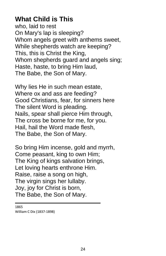# <span id="page-26-0"></span>**What Child is This**

who, laid to rest On Mary's lap is sleeping? Whom angels greet with anthems sweet, While shepherds watch are keeping? This, this is Christ the King, Whom shepherds quard and angels sing; Haste, haste, to bring Him laud, The Babe, the Son of Mary.

Why lies He in such mean estate, Where ox and ass are feeding? Good Christians, fear, for sinners here The silent Word is pleading. Nails, spear shall pierce Him through, The cross be borne for me, for you. Hail, hail the Word made flesh, The Babe, the Son of Mary.

So bring Him incense, gold and myrrh, Come peasant, king to own Him; The King of kings salvation brings, Let loving hearts enthrone Him. Raise, raise a song on high, The virgin sings her lullaby. Joy, joy for Christ is born, The Babe, the Son of Mary.

1865 William C Dix (1837-1898)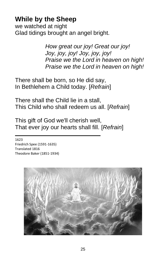## <span id="page-27-0"></span>**While by the Sheep**

we watched at night Glad tidings brought an angel bright.

> *How great our joy! Great our joy! Joy, joy, joy! Joy, joy, joy! Praise we the Lord in heaven on high! Praise we the Lord in heaven on high!*

There shall be born, so He did say, In Bethlehem a Child today. [*Refrain*]

There shall the Child lie in a stall, This Child who shall redeem us all. [*Refrain*]

This gift of God we'll cherish well, That ever joy our hearts shall fill. [*Refrain*]

1623 Friedrich Spee (1591-1635) Translated 1816 Theodore Baker (1851-1934)

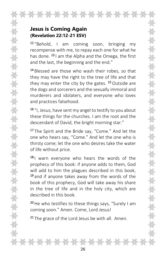# 

### <span id="page-28-0"></span>**Jesus is Coming Again (Revelation 22:12-21 ESV)**

<sup>12</sup> "Behold, I am coming soon, bringing my recompense with me, to repay each one for what he has done. <sup>13</sup> I am the Alpha and the Omega, the first and the last, the beginning and the end."

<sup>14</sup> Blessed are those who wash their robes, so that they may have the right to the tree of life and that they may enter the city by the gates. <sup>15</sup> Outside are the dogs and sorcerers and the sexually immoral and murderers and idolaters, and everyone who loves and practices falsehood.

16 "I, Jesus, have sent my angel to testify to you about these things for the churches. I am the root and the descendant of David, the bright morning star."

<sup>17</sup>The Spirit and the Bride say, "Come." And let the one who hears say, "Come." And let the one who is thirsty come; let the one who desires take the water of life without price.

<sup>18</sup> I warn everyone who hears the words of the prophecy of this book: if anyone adds to them, God will add to him the plagues described in this book, <sup>19</sup> and if anyone takes away from the words of the book of this prophecy, God will take away his share in the tree of life and in the holy city, which are described in this book.

 $20$  He who testifies to these things says, "Surely I am coming soon." Amen. Come, Lord Jesus!

<sup>21</sup>The grace of the Lord Jesus be with all. Amen.

မိုင်းဝ တို့ဦးဝ တို့ဦးဝ တို့ဦးစ် ထိုဦးစ် တို့ဦးဝ တို့ဦးစ် ထိုဦးစ် ထိုဦးစ် တို့ဦးစ် ထိုဦးစ် ထိုဦးစ် တို့ဦးစ် ဝ<br>ဦးစ်